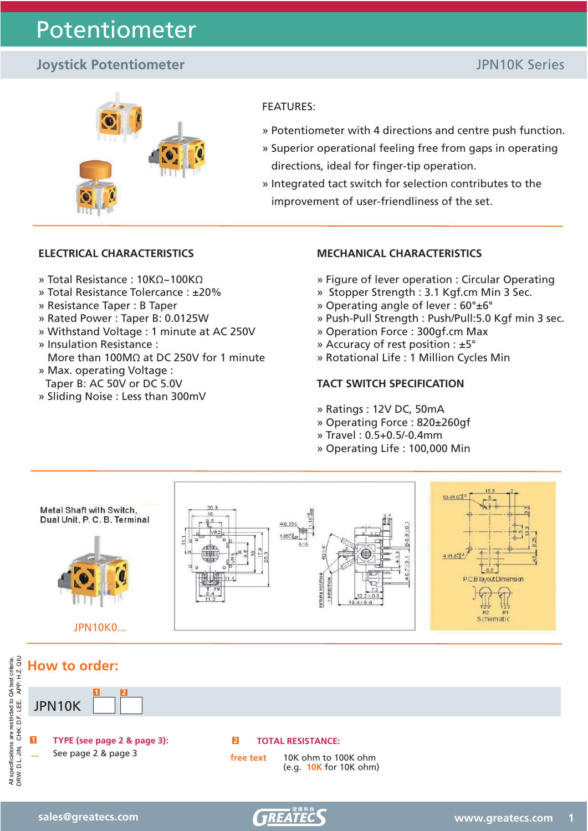# Potentiometer

## **Joystick Potentiometer JPN10K Series**



#### FEATURES:

- » Potentiometer with 4 directions and centre push function.
- » Superior operational feeling free from gaps in operating directions, ideal for finger-tip operation.
- » Integrated tact switch for selection contributes to the improvement of user-friendliness of the set.

### **ELECTRICAL CHARACTERISTICS**

- » Total Resistance : 10KΩ~100KΩ
- » Total Resistance Tolercance : ±20%
- » Resistance Taper : B Taper
- » Rated Power : Taper B: 0.0125W
- » Withstand Voltage : 1 minute at AC 250V
- » Insulation Resistance : More than 100MΩ at DC 250V for 1 minute
- » Max. operating Voltage : Taper B: AC 50V or DC 5.0V
- » Sliding Noise : Less than 300mV

#### **MECHANICAL CHARACTERISTICS**

- » Figure of lever operation : Circular Operating
- » Stopper Strength : 3.1 Kgf.cm Min 3 Sec.
- » Operating angle of lever : 60°±6°
- » Push-Pull Strength : Push/Pull:5.0 Kgf min 3 sec.
- » Operation Force : 300gf.cm Max
- » Accuracy of rest position : ±5°
- » Rotational Life : 1 Million Cycles Min

### **TACT SWITCH SPECIFICATION**

- » Ratings : 12V DC, 50mA
- » Operating Force : 820±260gf
- » Travel : 0.5+0.5/-0.4mm
- » Operating Life : 100,000 Min



**How to order: 1 2 1 TYPE (see page 2 & page 3):** JPN10K **...** See page 2 & page 3 **2 TOTAL RESISTANCE: free text** 10K ohm to 100K ohm (e.g. **10K** for 10K ohm)

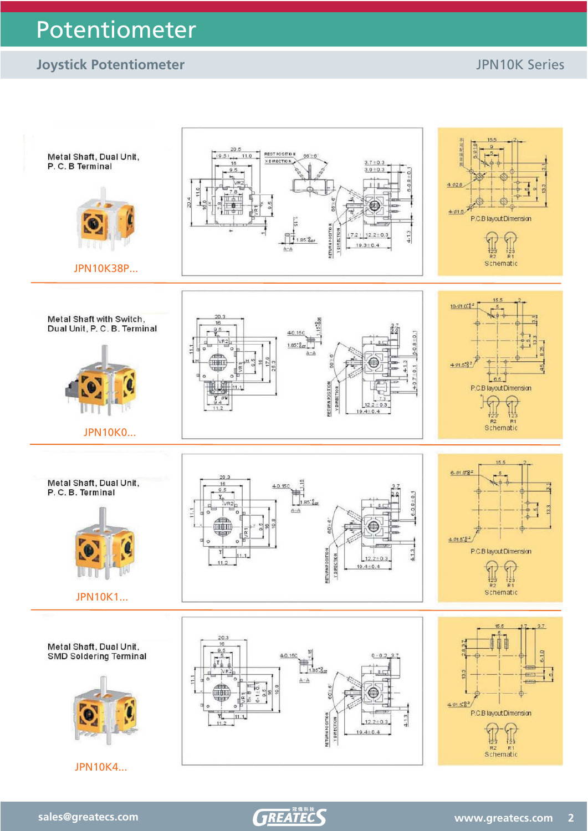# **Joystick Potentiometer JPN10K Series**